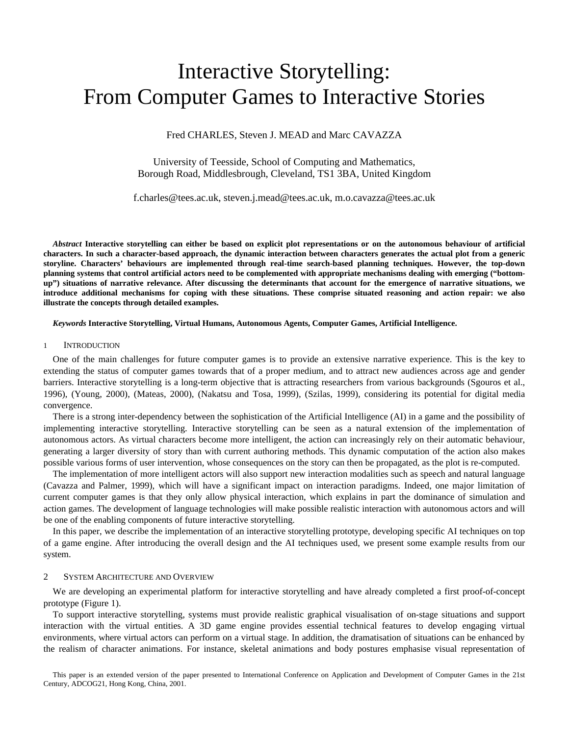# Interactive Storytelling: From Computer Games to Interactive Stories

# Fred CHARLES, Steven J. MEAD and Marc CAVAZZA

University of Teesside, School of Computing and Mathematics, Borough Road, Middlesbrough, Cleveland, TS1 3BA, United Kingdom

f.charles@tees.ac.uk, steven.j.mead@tees.ac.uk, m.o.cavazza@tees.ac.uk

*Abstract* **Interactive storytelling can either be based on explicit plot representations or on the autonomous behaviour of artificial characters. In such a character-based approach, the dynamic interaction between characters generates the actual plot from a generic storyline. Characters' behaviours are implemented through real-time search-based planning techniques. However, the top-down planning systems that control artificial actors need to be complemented with appropriate mechanisms dealing with emerging ("bottomup") situations of narrative relevance. After discussing the determinants that account for the emergence of narrative situations, we introduce additional mechanisms for coping with these situations. These comprise situated reasoning and action repair: we also illustrate the concepts through detailed examples.**

#### *Keywords* **Interactive Storytelling, Virtual Humans, Autonomous Agents, Computer Games, Artificial Intelligence.**

#### 1 INTRODUCTION

One of the main challenges for future computer games is to provide an extensive narrative experience. This is the key to extending the status of computer games towards that of a proper medium, and to attract new audiences across age and gender barriers. Interactive storytelling is a long-term objective that is attracting researchers from various backgrounds (Sgouros et al., 1996), (Young, 2000), (Mateas, 2000), (Nakatsu and Tosa, 1999), (Szilas, 1999), considering its potential for digital media convergence.

There is a strong inter-dependency between the sophistication of the Artificial Intelligence (AI) in a game and the possibility of implementing interactive storytelling. Interactive storytelling can be seen as a natural extension of the implementation of autonomous actors. As virtual characters become more intelligent, the action can increasingly rely on their automatic behaviour, generating a larger diversity of story than with current authoring methods. This dynamic computation of the action also makes possible various forms of user intervention, whose consequences on the story can then be propagated, as the plot is re-computed.

The implementation of more intelligent actors will also support new interaction modalities such as speech and natural language (Cavazza and Palmer, 1999), which will have a significant impact on interaction paradigms. Indeed, one major limitation of current computer games is that they only allow physical interaction, which explains in part the dominance of simulation and action games. The development of language technologies will make possible realistic interaction with autonomous actors and will be one of the enabling components of future interactive storytelling.

In this paper, we describe the implementation of an interactive storytelling prototype, developing specific AI techniques on top of a game engine. After introducing the overall design and the AI techniques used, we present some example results from our system.

## 2 SYSTEM ARCHITECTURE AND OVERVIEW

We are developing an experimental platform for interactive storytelling and have already completed a first proof-of-concept prototype (Figure 1).

To support interactive storytelling, systems must provide realistic graphical visualisation of on-stage situations and support interaction with the virtual entities. A 3D game engine provides essential technical features to develop engaging virtual environments, where virtual actors can perform on a virtual stage. In addition, the dramatisation of situations can be enhanced by the realism of character animations. For instance, skeletal animations and body postures emphasise visual representation of

This paper is an extended version of the paper presented to International Conference on Application and Development of Computer Games in the 21st Century, ADCOG21, Hong Kong, China, 2001.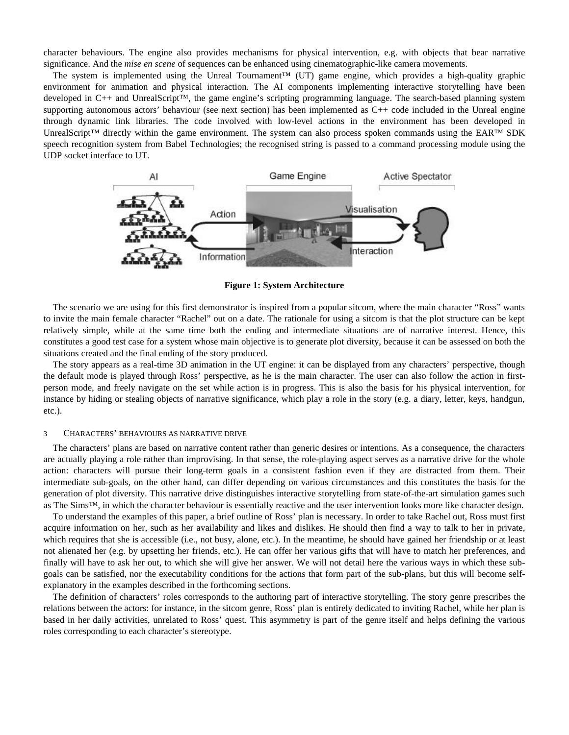character behaviours. The engine also provides mechanisms for physical intervention, e.g. with objects that bear narrative significance. And the *mise en scene* of sequences can be enhanced using cinematographic-like camera movements.

The system is implemented using the Unreal Tournament™ (UT) game engine, which provides a high-quality graphic environment for animation and physical interaction. The AI components implementing interactive storytelling have been developed in C++ and UnrealScript™, the game engine's scripting programming language. The search-based planning system supporting autonomous actors' behaviour (see next section) has been implemented as C++ code included in the Unreal engine through dynamic link libraries. The code involved with low-level actions in the environment has been developed in UnrealScript™ directly within the game environment. The system can also process spoken commands using the EAR™ SDK speech recognition system from Babel Technologies; the recognised string is passed to a command processing module using the UDP socket interface to UT.



**Figure 1: System Architecture**

The scenario we are using for this first demonstrator is inspired from a popular sitcom, where the main character "Ross" wants to invite the main female character "Rachel" out on a date. The rationale for using a sitcom is that the plot structure can be kept relatively simple, while at the same time both the ending and intermediate situations are of narrative interest. Hence, this constitutes a good test case for a system whose main objective is to generate plot diversity, because it can be assessed on both the situations created and the final ending of the story produced.

The story appears as a real-time 3D animation in the UT engine: it can be displayed from any characters' perspective, though the default mode is played through Ross' perspective, as he is the main character. The user can also follow the action in firstperson mode, and freely navigate on the set while action is in progress. This is also the basis for his physical intervention, for instance by hiding or stealing objects of narrative significance, which play a role in the story (e.g. a diary, letter, keys, handgun, etc.).

#### 3 CHARACTERS' BEHAVIOURS AS NARRATIVE DRIVE

The characters' plans are based on narrative content rather than generic desires or intentions. As a consequence, the characters are actually playing a role rather than improvising. In that sense, the role-playing aspect serves as a narrative drive for the whole action: characters will pursue their long-term goals in a consistent fashion even if they are distracted from them. Their intermediate sub-goals, on the other hand, can differ depending on various circumstances and this constitutes the basis for the generation of plot diversity. This narrative drive distinguishes interactive storytelling from state-of-the-art simulation games such as The Sims™, in which the character behaviour is essentially reactive and the user intervention looks more like character design.

To understand the examples of this paper, a brief outline of Ross' plan is necessary. In order to take Rachel out, Ross must first acquire information on her, such as her availability and likes and dislikes. He should then find a way to talk to her in private, which requires that she is accessible (i.e., not busy, alone, etc.). In the meantime, he should have gained her friendship or at least not alienated her (e.g. by upsetting her friends, etc.). He can offer her various gifts that will have to match her preferences, and finally will have to ask her out, to which she will give her answer. We will not detail here the various ways in which these subgoals can be satisfied, nor the executability conditions for the actions that form part of the sub-plans, but this will become selfexplanatory in the examples described in the forthcoming sections.

The definition of characters' roles corresponds to the authoring part of interactive storytelling. The story genre prescribes the relations between the actors: for instance, in the sitcom genre, Ross' plan is entirely dedicated to inviting Rachel, while her plan is based in her daily activities, unrelated to Ross' quest. This asymmetry is part of the genre itself and helps defining the various roles corresponding to each character's stereotype.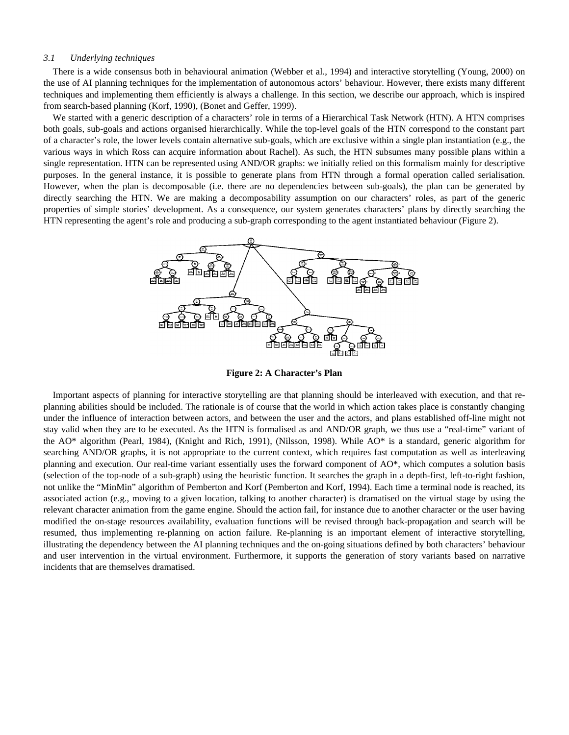#### *3.1 Underlying techniques*

There is a wide consensus both in behavioural animation (Webber et al., 1994) and interactive storytelling (Young, 2000) on the use of AI planning techniques for the implementation of autonomous actors' behaviour. However, there exists many different techniques and implementing them efficiently is always a challenge. In this section, we describe our approach, which is inspired from search-based planning (Korf, 1990), (Bonet and Geffer, 1999).

We started with a generic description of a characters' role in terms of a Hierarchical Task Network (HTN). A HTN comprises both goals, sub-goals and actions organised hierarchically. While the top-level goals of the HTN correspond to the constant part of a character's role, the lower levels contain alternative sub-goals, which are exclusive within a single plan instantiation (e.g., the various ways in which Ross can acquire information about Rachel). As such, the HTN subsumes many possible plans within a single representation. HTN can be represented using AND/OR graphs: we initially relied on this formalism mainly for descriptive purposes. In the general instance, it is possible to generate plans from HTN through a formal operation called serialisation. However, when the plan is decomposable (i.e. there are no dependencies between sub-goals), the plan can be generated by directly searching the HTN. We are making a decomposability assumption on our characters' roles, as part of the generic properties of simple stories' development. As a consequence, our system generates characters' plans by directly searching the HTN representing the agent's role and producing a sub-graph corresponding to the agent instantiated behaviour (Figure 2).



**Figure 2: A Character's Plan**

Important aspects of planning for interactive storytelling are that planning should be interleaved with execution, and that replanning abilities should be included. The rationale is of course that the world in which action takes place is constantly changing under the influence of interaction between actors, and between the user and the actors, and plans established off-line might not stay valid when they are to be executed. As the HTN is formalised as and AND/OR graph, we thus use a "real-time" variant of the AO\* algorithm (Pearl, 1984), (Knight and Rich, 1991), (Nilsson, 1998). While AO\* is a standard, generic algorithm for searching AND/OR graphs, it is not appropriate to the current context, which requires fast computation as well as interleaving planning and execution. Our real-time variant essentially uses the forward component of AO\*, which computes a solution basis (selection of the top-node of a sub-graph) using the heuristic function. It searches the graph in a depth-first, left-to-right fashion, not unlike the "MinMin" algorithm of Pemberton and Korf (Pemberton and Korf, 1994). Each time a terminal node is reached, its associated action (e.g., moving to a given location, talking to another character) is dramatised on the virtual stage by using the relevant character animation from the game engine. Should the action fail, for instance due to another character or the user having modified the on-stage resources availability, evaluation functions will be revised through back-propagation and search will be resumed, thus implementing re-planning on action failure. Re-planning is an important element of interactive storytelling, illustrating the dependency between the AI planning techniques and the on-going situations defined by both characters' behaviour and user intervention in the virtual environment. Furthermore, it supports the generation of story variants based on narrative incidents that are themselves dramatised.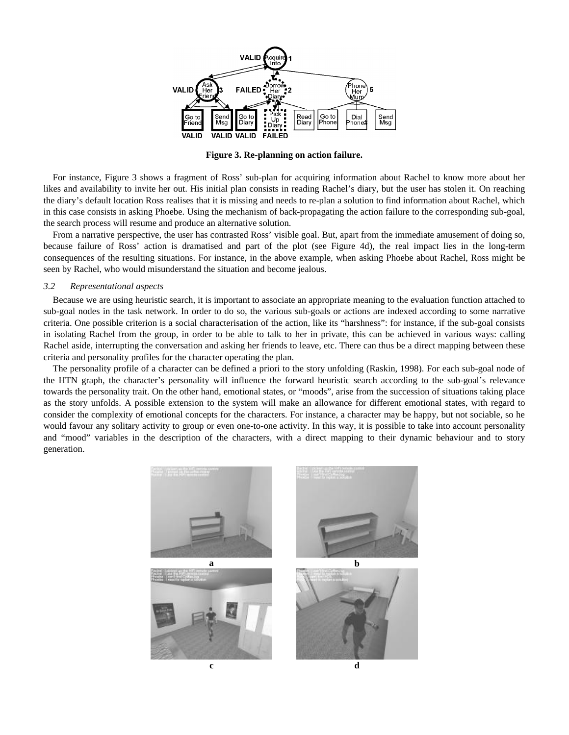

**Figure 3. Re-planning on action failure.**

For instance, Figure 3 shows a fragment of Ross' sub-plan for acquiring information about Rachel to know more about her likes and availability to invite her out. His initial plan consists in reading Rachel's diary, but the user has stolen it. On reaching the diary's default location Ross realises that it is missing and needs to re-plan a solution to find information about Rachel, which in this case consists in asking Phoebe. Using the mechanism of back-propagating the action failure to the corresponding sub-goal, the search process will resume and produce an alternative solution.

From a narrative perspective, the user has contrasted Ross' visible goal. But, apart from the immediate amusement of doing so, because failure of Ross' action is dramatised and part of the plot (see Figure 4d), the real impact lies in the long-term consequences of the resulting situations. For instance, in the above example, when asking Phoebe about Rachel, Ross might be seen by Rachel, who would misunderstand the situation and become jealous.

## *3.2 Representational aspects*

Because we are using heuristic search, it is important to associate an appropriate meaning to the evaluation function attached to sub-goal nodes in the task network. In order to do so, the various sub-goals or actions are indexed according to some narrative criteria. One possible criterion is a social characterisation of the action, like its "harshness": for instance, if the sub-goal consists in isolating Rachel from the group, in order to be able to talk to her in private, this can be achieved in various ways: calling Rachel aside, interrupting the conversation and asking her friends to leave, etc. There can thus be a direct mapping between these criteria and personality profiles for the character operating the plan.

The personality profile of a character can be defined a priori to the story unfolding (Raskin, 1998). For each sub-goal node of the HTN graph, the character's personality will influence the forward heuristic search according to the sub-goal's relevance towards the personality trait. On the other hand, emotional states, or "moods", arise from the succession of situations taking place as the story unfolds. A possible extension to the system will make an allowance for different emotional states, with regard to consider the complexity of emotional concepts for the characters. For instance, a character may be happy, but not sociable, so he would favour any solitary activity to group or even one-to-one activity. In this way, it is possible to take into account personality and "mood" variables in the description of the characters, with a direct mapping to their dynamic behaviour and to story generation.

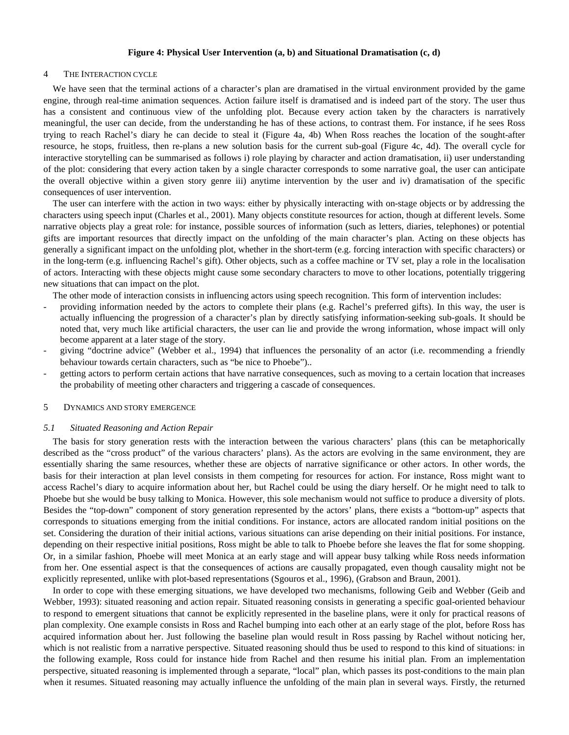## **Figure 4: Physical User Intervention (a, b) and Situational Dramatisation (c, d)**

#### 4 THE INTERACTION CYCLE

We have seen that the terminal actions of a character's plan are dramatised in the virtual environment provided by the game engine, through real-time animation sequences. Action failure itself is dramatised and is indeed part of the story. The user thus has a consistent and continuous view of the unfolding plot. Because every action taken by the characters is narratively meaningful, the user can decide, from the understanding he has of these actions, to contrast them. For instance, if he sees Ross trying to reach Rachel's diary he can decide to steal it (Figure 4a, 4b) When Ross reaches the location of the sought-after resource, he stops, fruitless, then re-plans a new solution basis for the current sub-goal (Figure 4c, 4d). The overall cycle for interactive storytelling can be summarised as follows i) role playing by character and action dramatisation, ii) user understanding of the plot: considering that every action taken by a single character corresponds to some narrative goal, the user can anticipate the overall objective within a given story genre iii) anytime intervention by the user and iv) dramatisation of the specific consequences of user intervention.

The user can interfere with the action in two ways: either by physically interacting with on-stage objects or by addressing the characters using speech input (Charles et al., 2001). Many objects constitute resources for action, though at different levels. Some narrative objects play a great role: for instance, possible sources of information (such as letters, diaries, telephones) or potential gifts are important resources that directly impact on the unfolding of the main character's plan. Acting on these objects has generally a significant impact on the unfolding plot, whether in the short-term (e.g. forcing interaction with specific characters) or in the long-term (e.g. influencing Rachel's gift). Other objects, such as a coffee machine or TV set, play a role in the localisation of actors. Interacting with these objects might cause some secondary characters to move to other locations, potentially triggering new situations that can impact on the plot.

The other mode of interaction consists in influencing actors using speech recognition. This form of intervention includes:

- providing information needed by the actors to complete their plans (e.g. Rachel's preferred gifts). In this way, the user is actually influencing the progression of a character's plan by directly satisfying information-seeking sub-goals. It should be noted that, very much like artificial characters, the user can lie and provide the wrong information, whose impact will only become apparent at a later stage of the story.
- giving "doctrine advice" (Webber et al., 1994) that influences the personality of an actor (i.e. recommending a friendly behaviour towards certain characters, such as "be nice to Phoebe")..
- getting actors to perform certain actions that have narrative consequences, such as moving to a certain location that increases the probability of meeting other characters and triggering a cascade of consequences.

## 5 DYNAMICS AND STORY EMERGENCE

#### *5.1 Situated Reasoning and Action Repair*

The basis for story generation rests with the interaction between the various characters' plans (this can be metaphorically described as the "cross product" of the various characters' plans). As the actors are evolving in the same environment, they are essentially sharing the same resources, whether these are objects of narrative significance or other actors. In other words, the basis for their interaction at plan level consists in them competing for resources for action. For instance, Ross might want to access Rachel's diary to acquire information about her, but Rachel could be using the diary herself. Or he might need to talk to Phoebe but she would be busy talking to Monica. However, this sole mechanism would not suffice to produce a diversity of plots. Besides the "top-down" component of story generation represented by the actors' plans, there exists a "bottom-up" aspects that corresponds to situations emerging from the initial conditions. For instance, actors are allocated random initial positions on the set. Considering the duration of their initial actions, various situations can arise depending on their initial positions. For instance, depending on their respective initial positions, Ross might be able to talk to Phoebe before she leaves the flat for some shopping. Or, in a similar fashion, Phoebe will meet Monica at an early stage and will appear busy talking while Ross needs information from her. One essential aspect is that the consequences of actions are causally propagated, even though causality might not be explicitly represented, unlike with plot-based representations (Sgouros et al., 1996), (Grabson and Braun, 2001).

In order to cope with these emerging situations, we have developed two mechanisms, following Geib and Webber (Geib and Webber, 1993): situated reasoning and action repair. Situated reasoning consists in generating a specific goal-oriented behaviour to respond to emergent situations that cannot be explicitly represented in the baseline plans, were it only for practical reasons of plan complexity. One example consists in Ross and Rachel bumping into each other at an early stage of the plot, before Ross has acquired information about her. Just following the baseline plan would result in Ross passing by Rachel without noticing her, which is not realistic from a narrative perspective. Situated reasoning should thus be used to respond to this kind of situations: in the following example, Ross could for instance hide from Rachel and then resume his initial plan. From an implementation perspective, situated reasoning is implemented through a separate, "local" plan, which passes its post-conditions to the main plan when it resumes. Situated reasoning may actually influence the unfolding of the main plan in several ways. Firstly, the returned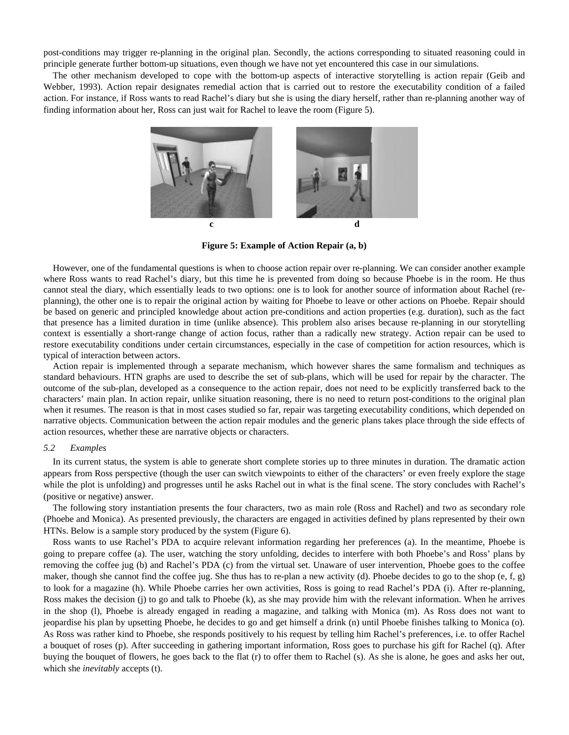post-conditions may trigger re-planning in the original plan. Secondly, the actions corresponding to situated reasoning could in principle generate further bottom-up situations, even though we have not yet encountered this case in our simulations.

The other mechanism developed to cope with the bottom-up aspects of interactive storytelling is action repair (Geib and Webber, 1993). Action repair designates remedial action that is carried out to restore the executability condition of a failed action. For instance, if Ross wants to read Rachel's diary but she is using the diary herself, rather than re-planning another way of finding information about her, Ross can just wait for Rachel to leave the room (Figure 5).



**Figure 5: Example of Action Repair (a, b)**

However, one of the fundamental questions is when to choose action repair over re-planning. We can consider another example where Ross wants to read Rachel's diary, but this time he is prevented from doing so because Phoebe is in the room. He thus cannot steal the diary, which essentially leads to two options: one is to look for another source of information about Rachel (replanning), the other one is to repair the original action by waiting for Phoebe to leave or other actions on Phoebe. Repair should be based on generic and principled knowledge about action pre-conditions and action properties (e.g. duration), such as the fact that presence has a limited duration in time (unlike absence). This problem also arises because re-planning in our storytelling context is essentially a short-range change of action focus, rather than a radically new strategy. Action repair can be used to restore executability conditions under certain circumstances, especially in the case of competition for action resources, which is typical of interaction between actors.

Action repair is implemented through a separate mechanism, which however shares the same formalism and techniques as standard behaviours. HTN graphs are used to describe the set of sub-plans, which will be used for repair by the character. The outcome of the sub-plan, developed as a consequence to the action repair, does not need to be explicitly transferred back to the characters' main plan. In action repair, unlike situation reasoning, there is no need to return post-conditions to the original plan when it resumes. The reason is that in most cases studied so far, repair was targeting executability conditions, which depended on narrative objects. Communication between the action repair modules and the generic plans takes place through the side effects of action resources, whether these are narrative objects or characters.

### *5.2 Examples*

In its current status, the system is able to generate short complete stories up to three minutes in duration. The dramatic action appears from Ross perspective (though the user can switch viewpoints to either of the characters' or even freely explore the stage while the plot is unfolding) and progresses until he asks Rachel out in what is the final scene. The story concludes with Rachel's (positive or negative) answer.

The following story instantiation presents the four characters, two as main role (Ross and Rachel) and two as secondary role (Phoebe and Monica). As presented previously, the characters are engaged in activities defined by plans represented by their own HTNs. Below is a sample story produced by the system (Figure 6).

Ross wants to use Rachel's PDA to acquire relevant information regarding her preferences (a). In the meantime, Phoebe is going to prepare coffee (a). The user, watching the story unfolding, decides to interfere with both Phoebe's and Ross' plans by removing the coffee jug (b) and Rachel's PDA (c) from the virtual set. Unaware of user intervention, Phoebe goes to the coffee maker, though she cannot find the coffee jug. She thus has to re-plan a new activity (d). Phoebe decides to go to the shop (e, f, g) to look for a magazine (h). While Phoebe carries her own activities, Ross is going to read Rachel's PDA (i). After re-planning, Ross makes the decision (j) to go and talk to Phoebe (k), as she may provide him with the relevant information. When he arrives in the shop (l), Phoebe is already engaged in reading a magazine, and talking with Monica (m). As Ross does not want to jeopardise his plan by upsetting Phoebe, he decides to go and get himself a drink (n) until Phoebe finishes talking to Monica (o). As Ross was rather kind to Phoebe, she responds positively to his request by telling him Rachel's preferences, i.e. to offer Rachel a bouquet of roses (p). After succeeding in gathering important information, Ross goes to purchase his gift for Rachel (q). After buying the bouquet of flowers, he goes back to the flat (r) to offer them to Rachel (s). As she is alone, he goes and asks her out, which she *inevitably* accepts (t).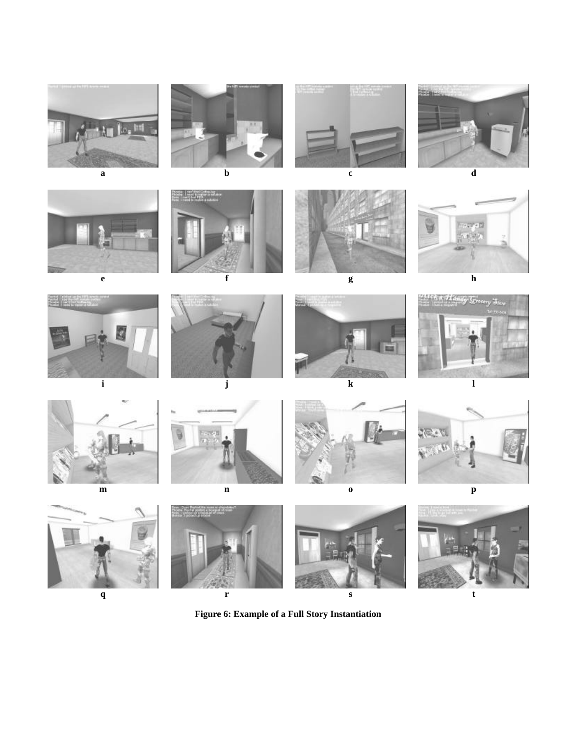

**Figure 6: Example of a Full Story Instantiation**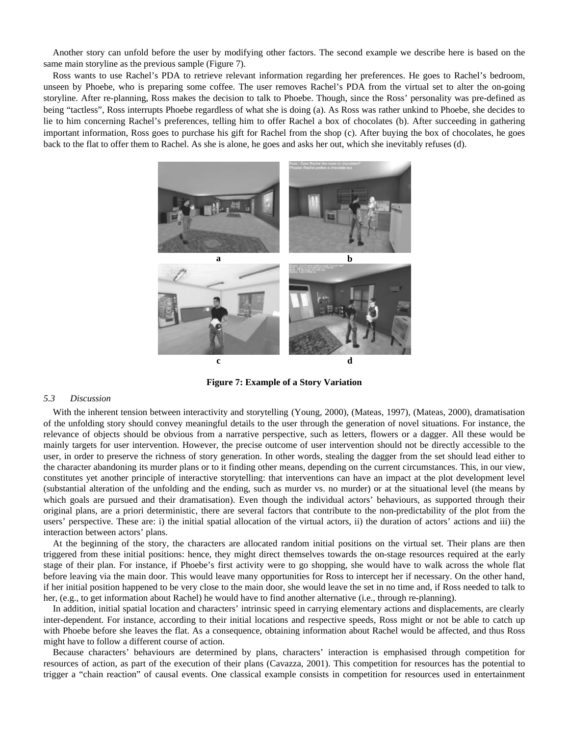Another story can unfold before the user by modifying other factors. The second example we describe here is based on the same main storyline as the previous sample (Figure 7).

Ross wants to use Rachel's PDA to retrieve relevant information regarding her preferences. He goes to Rachel's bedroom, unseen by Phoebe, who is preparing some coffee. The user removes Rachel's PDA from the virtual set to alter the on-going storyline. After re-planning, Ross makes the decision to talk to Phoebe. Though, since the Ross' personality was pre-defined as being "tactless", Ross interrupts Phoebe regardless of what she is doing (a). As Ross was rather unkind to Phoebe, she decides to lie to him concerning Rachel's preferences, telling him to offer Rachel a box of chocolates (b). After succeeding in gathering important information, Ross goes to purchase his gift for Rachel from the shop (c). After buying the box of chocolates, he goes back to the flat to offer them to Rachel. As she is alone, he goes and asks her out, which she inevitably refuses (d).



**Figure 7: Example of a Story Variation**

# *5.3 Discussion*

With the inherent tension between interactivity and storytelling (Young, 2000), (Mateas, 1997), (Mateas, 2000), dramatisation of the unfolding story should convey meaningful details to the user through the generation of novel situations. For instance, the relevance of objects should be obvious from a narrative perspective, such as letters, flowers or a dagger. All these would be mainly targets for user intervention. However, the precise outcome of user intervention should not be directly accessible to the user, in order to preserve the richness of story generation. In other words, stealing the dagger from the set should lead either to the character abandoning its murder plans or to it finding other means, depending on the current circumstances. This, in our view, constitutes yet another principle of interactive storytelling: that interventions can have an impact at the plot development level (substantial alteration of the unfolding and the ending, such as murder vs. no murder) or at the situational level (the means by which goals are pursued and their dramatisation). Even though the individual actors' behaviours, as supported through their original plans, are a priori deterministic, there are several factors that contribute to the non-predictability of the plot from the users' perspective. These are: i) the initial spatial allocation of the virtual actors, ii) the duration of actors' actions and iii) the interaction between actors' plans.

At the beginning of the story, the characters are allocated random initial positions on the virtual set. Their plans are then triggered from these initial positions: hence, they might direct themselves towards the on-stage resources required at the early stage of their plan. For instance, if Phoebe's first activity were to go shopping, she would have to walk across the whole flat before leaving via the main door. This would leave many opportunities for Ross to intercept her if necessary. On the other hand, if her initial position happened to be very close to the main door, she would leave the set in no time and, if Ross needed to talk to her, (e.g., to get information about Rachel) he would have to find another alternative (i.e., through re-planning).

In addition, initial spatial location and characters' intrinsic speed in carrying elementary actions and displacements, are clearly inter-dependent. For instance, according to their initial locations and respective speeds, Ross might or not be able to catch up with Phoebe before she leaves the flat. As a consequence, obtaining information about Rachel would be affected, and thus Ross might have to follow a different course of action.

Because characters' behaviours are determined by plans, characters' interaction is emphasised through competition for resources of action, as part of the execution of their plans (Cavazza, 2001). This competition for resources has the potential to trigger a "chain reaction" of causal events. One classical example consists in competition for resources used in entertainment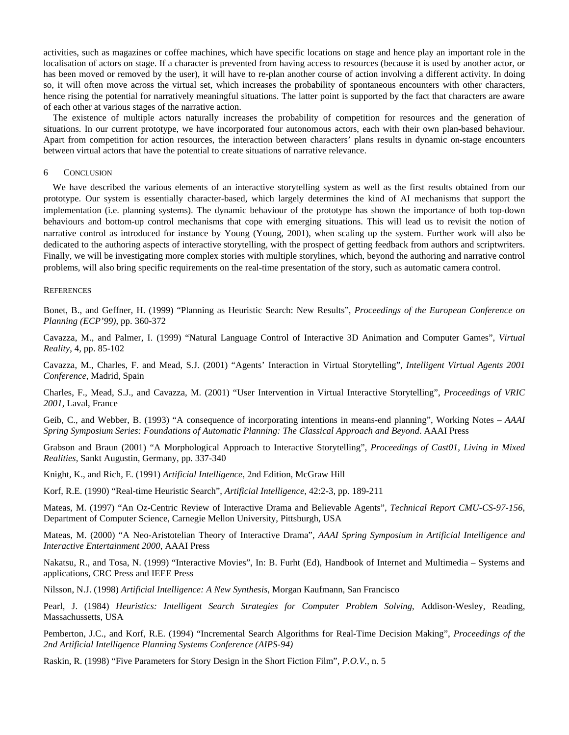activities, such as magazines or coffee machines, which have specific locations on stage and hence play an important role in the localisation of actors on stage. If a character is prevented from having access to resources (because it is used by another actor, or has been moved or removed by the user), it will have to re-plan another course of action involving a different activity. In doing so, it will often move across the virtual set, which increases the probability of spontaneous encounters with other characters, hence rising the potential for narratively meaningful situations. The latter point is supported by the fact that characters are aware of each other at various stages of the narrative action.

The existence of multiple actors naturally increases the probability of competition for resources and the generation of situations. In our current prototype, we have incorporated four autonomous actors, each with their own plan-based behaviour. Apart from competition for action resources, the interaction between characters' plans results in dynamic on-stage encounters between virtual actors that have the potential to create situations of narrative relevance.

### 6 CONCLUSION

We have described the various elements of an interactive storytelling system as well as the first results obtained from our prototype. Our system is essentially character-based, which largely determines the kind of AI mechanisms that support the implementation (i.e. planning systems). The dynamic behaviour of the prototype has shown the importance of both top-down behaviours and bottom-up control mechanisms that cope with emerging situations. This will lead us to revisit the notion of narrative control as introduced for instance by Young (Young, 2001), when scaling up the system. Further work will also be dedicated to the authoring aspects of interactive storytelling, with the prospect of getting feedback from authors and scriptwriters. Finally, we will be investigating more complex stories with multiple storylines, which, beyond the authoring and narrative control problems, will also bring specific requirements on the real-time presentation of the story, such as automatic camera control.

## **REFERENCES**

Bonet, B., and Geffner, H. (1999) "Planning as Heuristic Search: New Results", *Proceedings of the European Conference on Planning (ECP'99)*, pp. 360-372

Cavazza, M., and Palmer, I. (1999) "Natural Language Control of Interactive 3D Animation and Computer Games", *Virtual Reality*, 4, pp. 85-102

Cavazza, M., Charles, F. and Mead, S.J. (2001) "Agents' Interaction in Virtual Storytelling", *Intelligent Virtual Agents 2001 Conference*, Madrid, Spain

Charles, F., Mead, S.J., and Cavazza, M. (2001) "User Intervention in Virtual Interactive Storytelling", *Proceedings of VRIC 2001*, Laval, France

Geib, C., and Webber, B. (1993) "A consequence of incorporating intentions in means-end planning", Working Notes – *AAAI Spring Symposium Series: Foundations of Automatic Planning: The Classical Approach and Beyond*. AAAI Press

Grabson and Braun (2001) "A Morphological Approach to Interactive Storytelling", *Proceedings of Cast01, Living in Mixed Realities*, Sankt Augustin, Germany, pp. 337-340

Knight, K., and Rich, E. (1991) *Artificial Intelligence*, 2nd Edition, McGraw Hill

Korf, R.E. (1990) "Real-time Heuristic Search", *Artificial Intelligence*, 42:2-3, pp. 189-211

Mateas, M. (1997) "An Oz-Centric Review of Interactive Drama and Believable Agents", *Technical Report CMU-CS-97-156*, Department of Computer Science, Carnegie Mellon University, Pittsburgh, USA

Mateas, M. (2000) "A Neo-Aristotelian Theory of Interactive Drama", *AAAI Spring Symposium in Artificial Intelligence and Interactive Entertainment 2000*, AAAI Press

Nakatsu, R., and Tosa, N. (1999) "Interactive Movies", In: B. Furht (Ed), Handbook of Internet and Multimedia – Systems and applications, CRC Press and IEEE Press

Nilsson, N.J. (1998) *Artificial Intelligence: A New Synthesis*, Morgan Kaufmann, San Francisco

Pearl, J. (1984) *Heuristics: Intelligent Search Strategies for Computer Problem Solving*, Addison-Wesley, Reading, Massachussetts, USA

Pemberton, J.C., and Korf, R.E. (1994) "Incremental Search Algorithms for Real-Time Decision Making", *Proceedings of the 2nd Artificial Intelligence Planning Systems Conference (AIPS-94)*

Raskin, R. (1998) "Five Parameters for Story Design in the Short Fiction Film", *P.O.V.*, n. 5